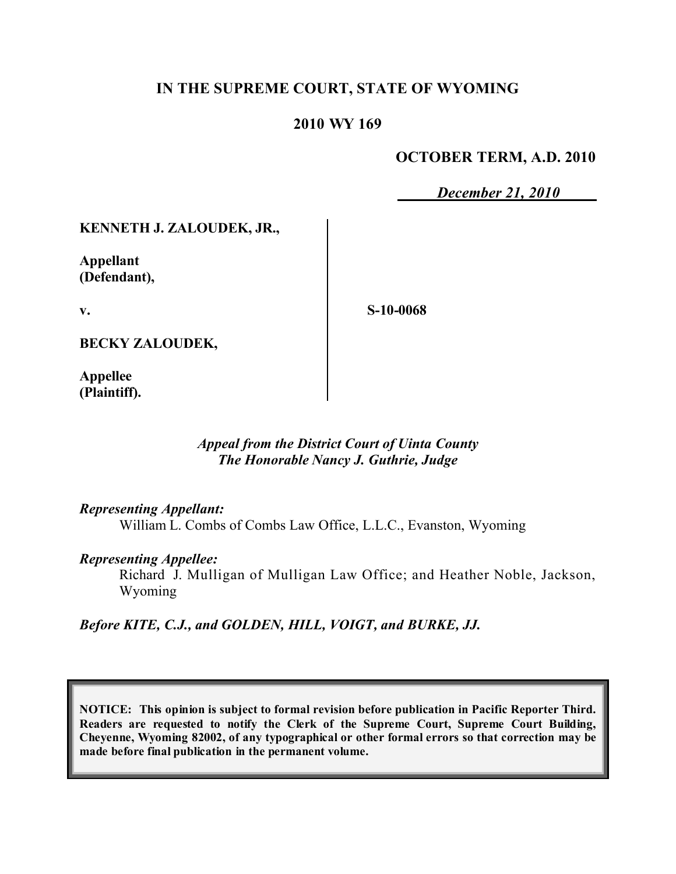# **IN THE SUPREME COURT, STATE OF WYOMING**

### **2010 WY 169**

### **OCTOBER TERM, A.D. 2010**

*December 21, 2010*

#### **KENNETH J. ZALOUDEK, JR.,**

**Appellant (Defendant),**

**v.**

**S-10-0068**

**BECKY ZALOUDEK,**

**Appellee (Plaintiff).**

#### *Appeal from the District Court of Uinta County The Honorable Nancy J. Guthrie, Judge*

#### *Representing Appellant:*

William L. Combs of Combs Law Office, L.L.C., Evanston, Wyoming

#### *Representing Appellee:*

Richard J. Mulligan of Mulligan Law Office; and Heather Noble, Jackson, Wyoming

*Before KITE, C.J., and GOLDEN, HILL, VOIGT, and BURKE, JJ.*

**NOTICE: This opinion is subject to formal revision before publication in Pacific Reporter Third. Readers are requested to notify the Clerk of the Supreme Court, Supreme Court Building, Cheyenne, Wyoming 82002, of any typographical or other formal errors so that correction may be made before final publication in the permanent volume.**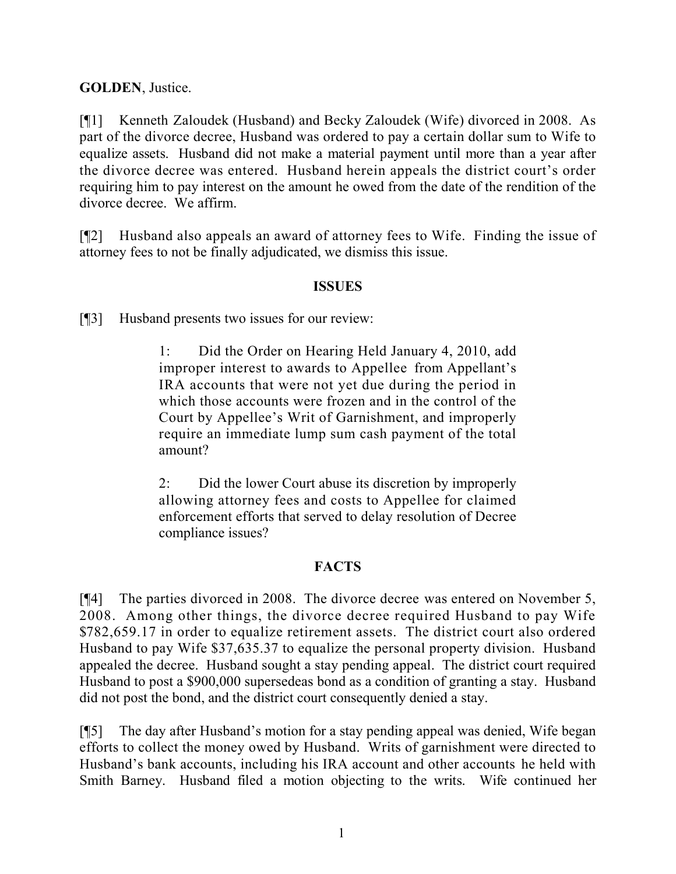# **GOLDEN**, Justice.

[¶1] Kenneth Zaloudek (Husband) and Becky Zaloudek (Wife) divorced in 2008. As part of the divorce decree, Husband was ordered to pay a certain dollar sum to Wife to equalize assets. Husband did not make a material payment until more than a year after the divorce decree was entered. Husband herein appeals the district court's order requiring him to pay interest on the amount he owed from the date of the rendition of the divorce decree. We affirm.

[¶2] Husband also appeals an award of attorney fees to Wife. Finding the issue of attorney fees to not be finally adjudicated, we dismiss this issue.

## **ISSUES**

[¶3] Husband presents two issues for our review:

1: Did the Order on Hearing Held January 4, 2010, add improper interest to awards to Appellee from Appellant's IRA accounts that were not yet due during the period in which those accounts were frozen and in the control of the Court by Appellee's Writ of Garnishment, and improperly require an immediate lump sum cash payment of the total amount?

2: Did the lower Court abuse its discretion by improperly allowing attorney fees and costs to Appellee for claimed enforcement efforts that served to delay resolution of Decree compliance issues?

# **FACTS**

[¶4] The parties divorced in 2008. The divorce decree was entered on November 5, 2008. Among other things, the divorce decree required Husband to pay Wife \$782,659.17 in order to equalize retirement assets. The district court also ordered Husband to pay Wife \$37,635.37 to equalize the personal property division. Husband appealed the decree. Husband sought a stay pending appeal. The district court required Husband to post a \$900,000 supersedeas bond as a condition of granting a stay. Husband did not post the bond, and the district court consequently denied a stay.

[¶5] The day after Husband's motion for a stay pending appeal was denied, Wife began efforts to collect the money owed by Husband. Writs of garnishment were directed to Husband's bank accounts, including his IRA account and other accounts he held with Smith Barney. Husband filed a motion objecting to the writs. Wife continued her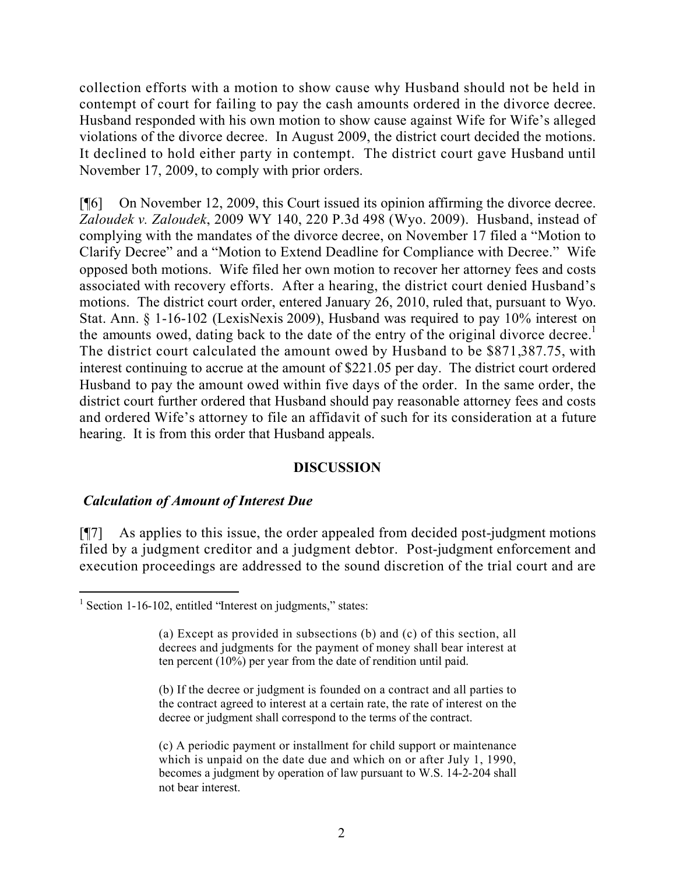collection efforts with a motion to show cause why Husband should not be held in contempt of court for failing to pay the cash amounts ordered in the divorce decree. Husband responded with his own motion to show cause against Wife for Wife's alleged violations of the divorce decree. In August 2009, the district court decided the motions. It declined to hold either party in contempt. The district court gave Husband until November 17, 2009, to comply with prior orders.

[¶6] On November 12, 2009, this Court issued its opinion affirming the divorce decree. *Zaloudek v. Zaloudek*, 2009 WY 140, 220 P.3d 498 (Wyo. 2009). Husband, instead of complying with the mandates of the divorce decree, on November 17 filed a "Motion to Clarify Decree" and a "Motion to Extend Deadline for Compliance with Decree." Wife opposed both motions. Wife filed her own motion to recover her attorney fees and costs associated with recovery efforts. After a hearing, the district court denied Husband's motions. The district court order, entered January 26, 2010, ruled that, pursuant to Wyo. Stat. Ann. § 1-16-102 (LexisNexis 2009), Husband was required to pay 10% interest on the amounts owed, dating back to the date of the entry of the original divorce decree.<sup>1</sup> The district court calculated the amount owed by Husband to be \$871,387.75, with interest continuing to accrue at the amount of \$221.05 per day. The district court ordered Husband to pay the amount owed within five days of the order. In the same order, the district court further ordered that Husband should pay reasonable attorney fees and costs and ordered Wife's attorney to file an affidavit of such for its consideration at a future hearing. It is from this order that Husband appeals.

## **DISCUSSION**

## *Calculation of Amount of Interest Due*

[¶7] As applies to this issue, the order appealed from decided post-judgment motions filed by a judgment creditor and a judgment debtor. Post-judgment enforcement and execution proceedings are addressed to the sound discretion of the trial court and are

<sup>&</sup>lt;sup>1</sup> Section 1-16-102, entitled "Interest on judgments," states:

<sup>(</sup>a) Except as provided in subsections (b) and (c) of this section, all decrees and judgments for the payment of money shall bear interest at ten percent (10%) per year from the date of rendition until paid.

<sup>(</sup>b) If the decree or judgment is founded on a contract and all parties to the contract agreed to interest at a certain rate, the rate of interest on the decree or judgment shall correspond to the terms of the contract.

<sup>(</sup>c) A periodic payment or installment for child support or maintenance which is unpaid on the date due and which on or after July 1, 1990, becomes a judgment by operation of law pursuant to W.S. 14-2-204 shall not bear interest.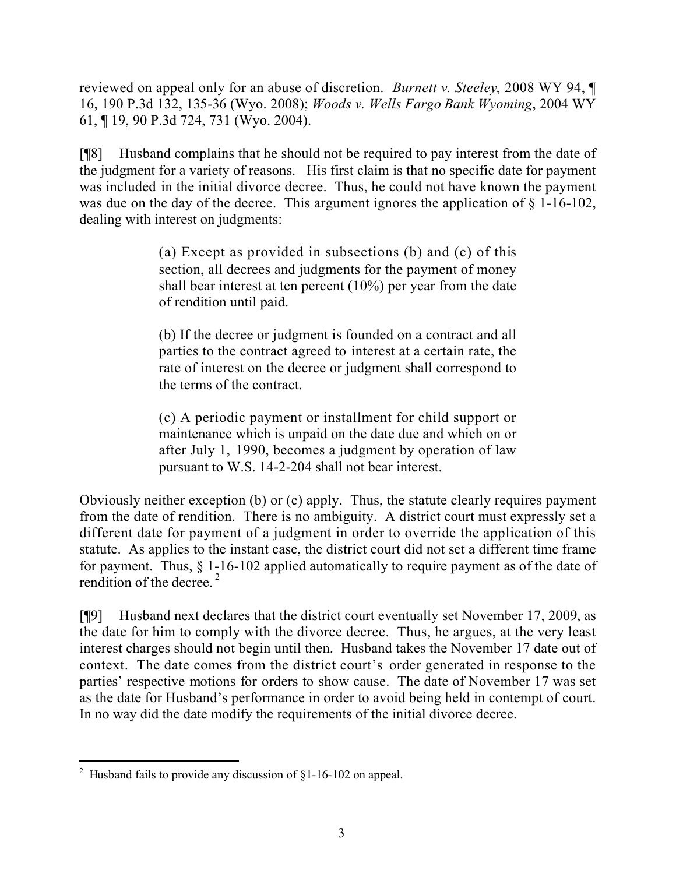reviewed on appeal only for an abuse of discretion. *Burnett v. Steeley*, 2008 WY 94, ¶ 16, 190 P.3d 132, 135-36 (Wyo. 2008); *Woods v. Wells Fargo Bank Wyoming*, 2004 WY 61, ¶ 19, 90 P.3d 724, 731 (Wyo. 2004).

[¶8] Husband complains that he should not be required to pay interest from the date of the judgment for a variety of reasons. His first claim is that no specific date for payment was included in the initial divorce decree. Thus, he could not have known the payment was due on the day of the decree. This argument ignores the application of  $\S$  1-16-102, dealing with interest on judgments:

> (a) Except as provided in subsections (b) and (c) of this section, all decrees and judgments for the payment of money shall bear interest at ten percent (10%) per year from the date of rendition until paid.

> (b) If the decree or judgment is founded on a contract and all parties to the contract agreed to interest at a certain rate, the rate of interest on the decree or judgment shall correspond to the terms of the contract.

> (c) A periodic payment or installment for child support or maintenance which is unpaid on the date due and which on or after July 1, 1990, becomes a judgment by operation of law pursuant to W.S. 14-2-204 shall not bear interest.

Obviously neither exception (b) or (c) apply. Thus, the statute clearly requires payment from the date of rendition. There is no ambiguity. A district court must expressly set a different date for payment of a judgment in order to override the application of this statute. As applies to the instant case, the district court did not set a different time frame for payment. Thus, § 1-16-102 applied automatically to require payment as of the date of rendition of the decree.<sup>2</sup>

[¶9] Husband next declares that the district court eventually set November 17, 2009, as the date for him to comply with the divorce decree. Thus, he argues, at the very least interest charges should not begin until then. Husband takes the November 17 date out of context. The date comes from the district court's order generated in response to the parties' respective motions for orders to show cause. The date of November 17 was set as the date for Husband's performance in order to avoid being held in contempt of court. In no way did the date modify the requirements of the initial divorce decree.

 $\overline{a}$ <sup>2</sup> Husband fails to provide any discussion of  $\S 1$ -16-102 on appeal.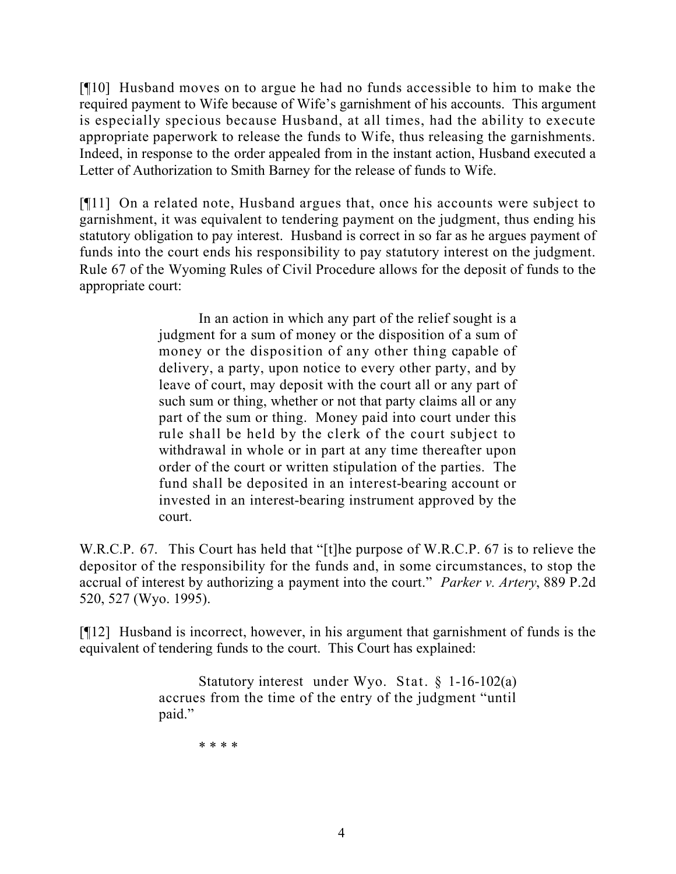[¶10] Husband moves on to argue he had no funds accessible to him to make the required payment to Wife because of Wife's garnishment of his accounts. This argument is especially specious because Husband, at all times, had the ability to execute appropriate paperwork to release the funds to Wife, thus releasing the garnishments. Indeed, in response to the order appealed from in the instant action, Husband executed a Letter of Authorization to Smith Barney for the release of funds to Wife.

[¶11] On a related note, Husband argues that, once his accounts were subject to garnishment, it was equivalent to tendering payment on the judgment, thus ending his statutory obligation to pay interest. Husband is correct in so far as he argues payment of funds into the court ends his responsibility to pay statutory interest on the judgment. Rule 67 of the Wyoming Rules of Civil Procedure allows for the deposit of funds to the appropriate court:

> In an action in which any part of the relief sought is a judgment for a sum of money or the disposition of a sum of money or the disposition of any other thing capable of delivery, a party, upon notice to every other party, and by leave of court, may deposit with the court all or any part of such sum or thing, whether or not that party claims all or any part of the sum or thing. Money paid into court under this rule shall be held by the clerk of the court subject to withdrawal in whole or in part at any time thereafter upon order of the court or written stipulation of the parties. The fund shall be deposited in an interest-bearing account or invested in an interest-bearing instrument approved by the court.

W.R.C.P. 67. This Court has held that "[t]he purpose of W.R.C.P. 67 is to relieve the depositor of the responsibility for the funds and, in some circumstances, to stop the accrual of interest by authorizing a payment into the court." *Parker v. Artery*, 889 P.2d 520, 527 (Wyo. 1995).

[¶12] Husband is incorrect, however, in his argument that garnishment of funds is the equivalent of tendering funds to the court. This Court has explained:

> Statutory interest under Wyo. Stat. § 1-16-102(a) accrues from the time of the entry of the judgment "until paid."

> > \* \* \* \*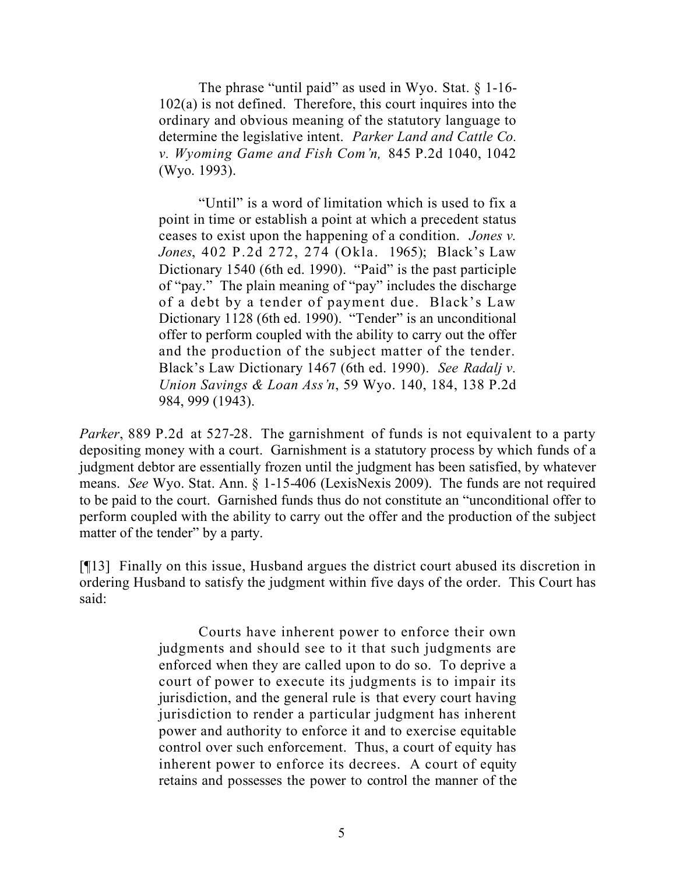The phrase "until paid" as used in Wyo. Stat.  $\S$  1-16-102(a) is not defined. Therefore, this court inquires into the ordinary and obvious meaning of the statutory language to determine the legislative intent. *Parker Land and Cattle Co. v. Wyoming Game and Fish Com'n,* 845 P.2d 1040, 1042 (Wyo. 1993).

"Until" is a word of limitation which is used to fix a point in time or establish a point at which a precedent status ceases to exist upon the happening of a condition. *Jones v. Jones*, 402 P.2d 272, 274 (Okla. 1965); Black's Law Dictionary 1540 (6th ed. 1990). "Paid" is the past participle of "pay." The plain meaning of "pay" includes the discharge of a debt by a tender of payment due. Black's Law Dictionary 1128 (6th ed. 1990). "Tender" is an unconditional offer to perform coupled with the ability to carry out the offer and the production of the subject matter of the tender. Black's Law Dictionary 1467 (6th ed. 1990). *See Radalj v. Union Savings & Loan Ass'n*, 59 Wyo. 140, 184, 138 P.2d 984, 999 (1943).

*Parker*, 889 P.2d at 527-28. The garnishment of funds is not equivalent to a party depositing money with a court. Garnishment is a statutory process by which funds of a judgment debtor are essentially frozen until the judgment has been satisfied, by whatever means. *See* Wyo. Stat. Ann. § 1-15-406 (LexisNexis 2009). The funds are not required to be paid to the court. Garnished funds thus do not constitute an "unconditional offer to perform coupled with the ability to carry out the offer and the production of the subject matter of the tender" by a party.

[¶13] Finally on this issue, Husband argues the district court abused its discretion in ordering Husband to satisfy the judgment within five days of the order. This Court has said:

> Courts have inherent power to enforce their own judgments and should see to it that such judgments are enforced when they are called upon to do so. To deprive a court of power to execute its judgments is to impair its jurisdiction, and the general rule is that every court having jurisdiction to render a particular judgment has inherent power and authority to enforce it and to exercise equitable control over such enforcement. Thus, a court of equity has inherent power to enforce its decrees. A court of equity retains and possesses the power to control the manner of the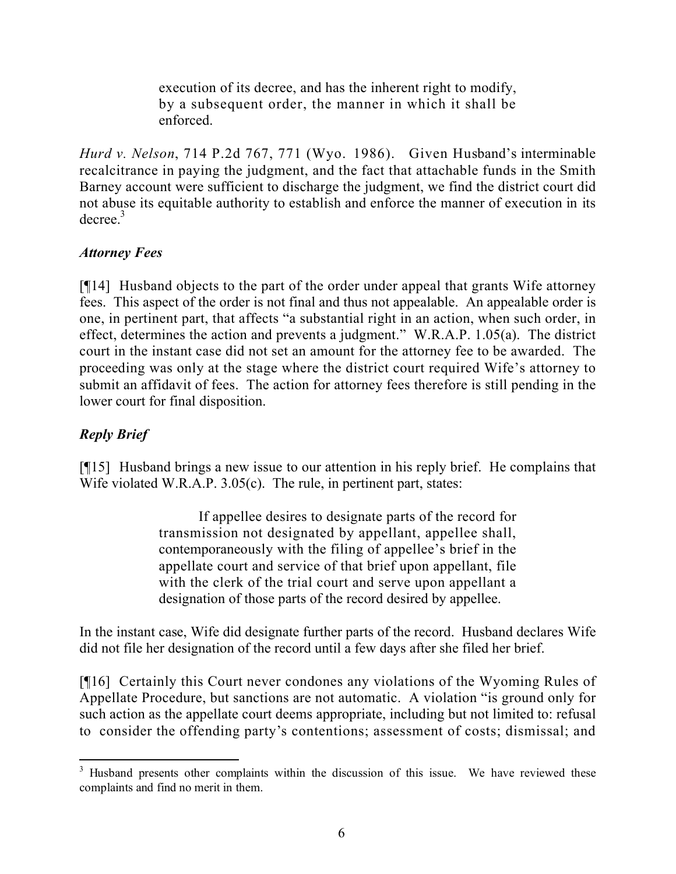execution of its decree, and has the inherent right to modify, by a subsequent order, the manner in which it shall be enforced.

*Hurd v. Nelson*, 714 P.2d 767, 771 (Wyo. 1986). Given Husband's interminable recalcitrance in paying the judgment, and the fact that attachable funds in the Smith Barney account were sufficient to discharge the judgment, we find the district court did not abuse its equitable authority to establish and enforce the manner of execution in its  $decrete.<sup>3</sup>$ 

# *Attorney Fees*

[¶14] Husband objects to the part of the order under appeal that grants Wife attorney fees. This aspect of the order is not final and thus not appealable. An appealable order is one, in pertinent part, that affects "a substantial right in an action, when such order, in effect, determines the action and prevents a judgment." W.R.A.P. 1.05(a). The district court in the instant case did not set an amount for the attorney fee to be awarded. The proceeding was only at the stage where the district court required Wife's attorney to submit an affidavit of fees. The action for attorney fees therefore is still pending in the lower court for final disposition.

# *Reply Brief*

[¶15] Husband brings a new issue to our attention in his reply brief. He complains that Wife violated W.R.A.P. 3.05(c). The rule, in pertinent part, states:

> If appellee desires to designate parts of the record for transmission not designated by appellant, appellee shall, contemporaneously with the filing of appellee's brief in the appellate court and service of that brief upon appellant, file with the clerk of the trial court and serve upon appellant a designation of those parts of the record desired by appellee.

In the instant case, Wife did designate further parts of the record. Husband declares Wife did not file her designation of the record until a few days after she filed her brief.

[¶16] Certainly this Court never condones any violations of the Wyoming Rules of Appellate Procedure, but sanctions are not automatic. A violation "is ground only for such action as the appellate court deems appropriate, including but not limited to: refusal to consider the offending party's contentions; assessment of costs; dismissal; and

 $\overline{a}$  $3$  Husband presents other complaints within the discussion of this issue. We have reviewed these complaints and find no merit in them.